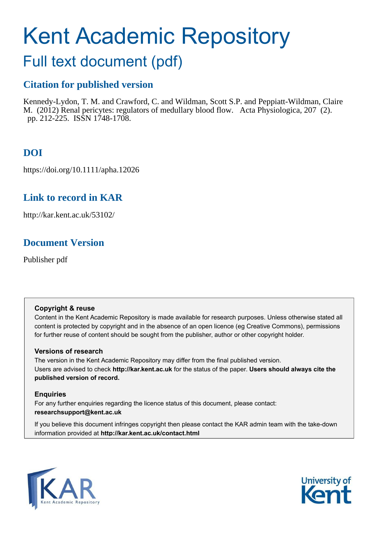# Kent Academic Repository

## Full text document (pdf)

## **Citation for published version**

Kennedy-Lydon, T. M. and Crawford, C. and Wildman, Scott S.P. and Peppiatt-Wildman, Claire M. (2012) Renal pericytes: regulators of medullary blood flow. Acta Physiologica, 207 (2). pp. 212-225. ISSN 1748-1708.

## **DOI**

https://doi.org/10.1111/apha.12026

## **Link to record in KAR**

http://kar.kent.ac.uk/53102/

## **Document Version**

Publisher pdf

#### **Copyright & reuse**

Content in the Kent Academic Repository is made available for research purposes. Unless otherwise stated all content is protected by copyright and in the absence of an open licence (eg Creative Commons), permissions for further reuse of content should be sought from the publisher, author or other copyright holder.

#### **Versions of research**

The version in the Kent Academic Repository may differ from the final published version. Users are advised to check **http://kar.kent.ac.uk** for the status of the paper. **Users should always cite the published version of record.**

#### **Enquiries**

For any further enquiries regarding the licence status of this document, please contact: **researchsupport@kent.ac.uk**

If you believe this document infringes copyright then please contact the KAR admin team with the take-down information provided at **http://kar.kent.ac.uk/contact.html**



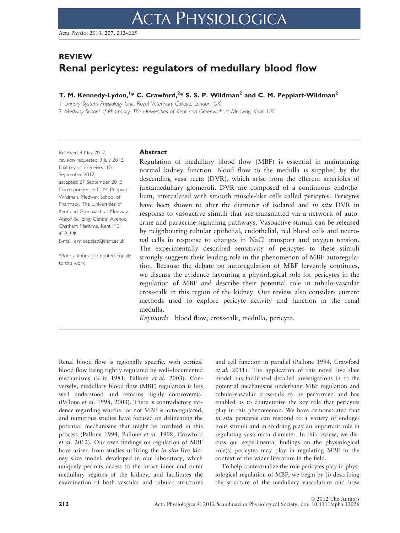### REVIEW Renal pericytes: regulators of medullary blood flow

#### T. M. Kennedy-Lydon, <sup>1</sup>\* C. Crawford, <sup>2</sup>\* S. S. P. Wildman<sup>2</sup> and C. M. Peppiatt-Wildman<sup>2</sup>

1 Urinary System Physiology Unit, Royal Veterinary College, London, UK

2 Medway School of Pharmacy, The Universities of Kent and Greenwich at Medway, Kent, UK

Received 8 May 2012, revision requested 3 July 2012, final revision received 10 September 2012, accepted 27 September 2012 Correspondence: C. M. Peppiatt-Wildman, Medway School of Pharmacy, The Universities of Kent and Greenwich at Medway, Anson Building, Central Avenue, Chatham Maritime, Kent ME4 4TB, UK. E-mail: c.m.peppiatt@kent.ac.uk

\*Both authors contributed equally to this work.

#### Abstract

Regulation of medullary blood flow (MBF) is essential in maintaining normal kidney function. Blood flow to the medulla is supplied by the descending vasa recta (DVR), which arise from the efferent arterioles of juxtamedullary glomeruli. DVR are composed of a continuous endothelium, intercalated with smooth muscle-like cells called pericytes. Pericytes have been shown to alter the diameter of isolated and *in situ* DVR in response to vasoactive stimuli that are transmitted via a network of autocrine and paracrine signalling pathways. Vasoactive stimuli can be released by neighbouring tubular epithelial, endothelial, red blood cells and neuronal cells in response to changes in NaCl transport and oxygen tension. The experimentally described sensitivity of pericytes to these stimuli strongly suggests their leading role in the phenomenon of MBF autoregulation. Because the debate on autoregulation of MBF fervently continues, we discuss the evidence favouring a physiological role for pericytes in the regulation of MBF and describe their potential role in tubulo-vascular cross-talk in this region of the kidney. Our review also considers current methods used to explore pericyte activity and function in the renal medulla.

*Keywords* blood flow, cross-talk, medulla, pericyte.

Renal blood flow is regionally specific, with cortical blood flow being tightly regulated by well-documented mechanisms (Kriz 1981, Pallone *et al.* 2003). Conversely, medullary blood flow (MBF) regulation is less well understood and remains highly controversial (Pallone *et al.* 1998, 2003). There is contradictory evidence regarding whether or not MBF is autoregulated, and numerous studies have focused on delineating the potential mechanisms that might be involved in this process (Pallone 1994, Pallone *et al.* 1998, Crawford *et al.* 2012). Our own findings on regulation of MBF have arisen from studies utilizing the *in situ* live kidney slice model, developed in our laboratory, which uniquely permits access to the intact inner and outer medullary regions of the kidney, and facilitates the examination of both vascular and tubular structures

and cell function in parallel (Pallone 1994, Crawford *et al.* 2011). The application of this novel live slice model has facilitated detailed investigations in to the potential mechanisms underlying MBF regulation and tubulo-vascular cross-talk to be performed and has enabled us to characterize the key role that pericytes play in this phenomenon. We have demonstrated that *in situ* pericytes can respond to a variety of endogenous stimuli and in so doing play an important role in regulating vasa recta diameter. In this review, we discuss our experimental findings on the physiological role(s) pericytes may play in regulating MBF in the context of the wider literature in the field.

To help contextualize the role pericytes play in physiological regulation of MBF, we begin by (i) describing the structure of the medullary vasculature and how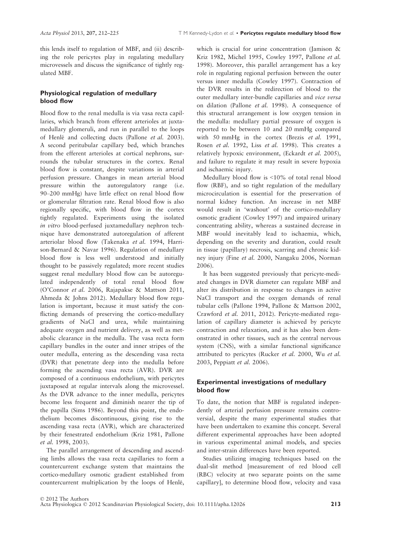this lends itself to regulation of MBF, and (ii) describing the role pericytes play in regulating medullary microvessels and discuss the significance of tightly regulated MBF.

#### Physiological regulation of medullary blood flow

Blood flow to the renal medulla is via vasa recta capillaries, which branch from efferent arterioles at juxtamedullary glomeruli, and run in parallel to the loops of Henle´ and collecting ducts (Pallone *et al.* 2003). A second peritubular capillary bed, which branches from the efferent arterioles at cortical nephrons, surrounds the tubular structures in the cortex. Renal blood flow is constant, despite variations in arterial perfusion pressure. Changes in mean arterial blood pressure within the autoregulatory range (i.e. 90–200 mmHg) have little effect on renal blood flow or glomerular filtration rate. Renal blood flow is also regionally specific, with blood flow in the cortex tightly regulated. Experiments using the isolated *in vitro* blood-perfused juxtamedullary nephron technique have demonstrated autoregulation of afferent arteriolar blood flow (Takenaka *et al.* 1994, Harrison-Bernard & Navar 1996). Regulation of medullary blood flow is less well understood and initially thought to be passively regulated; more recent studies suggest renal medullary blood flow can be autoregulated independently of total renal blood flow (O'Connor *et al.* 2006, Rajapakse & Mattson 2011, Ahmeda & Johns 2012). Medullary blood flow regulation is important, because it must satisfy the conflicting demands of preserving the cortico-medullary gradients of NaCl and urea, while maintaining adequate oxygen and nutrient delivery, as well as metabolic clearance in the medulla. The vasa recta form capillary bundles in the outer and inner stripes of the outer medulla, entering as the descending vasa recta (DVR) that penetrate deep into the medulla before forming the ascending vasa recta (AVR). DVR are composed of a continuous endothelium, with pericytes juxtaposed at regular intervals along the microvessel. As the DVR advance to the inner medulla, pericytes become less frequent and diminish nearer the tip of the papilla (Sims 1986). Beyond this point, the endothelium becomes discontinuous, giving rise to the ascending vasa recta (AVR), which are characterized by their fenestrated endothelium (Kriz 1981, Pallone *et al.* 1998, 2003).

The parallel arrangement of descending and ascending limbs allows the vasa recta capillaries to form a countercurrent exchange system that maintains the cortico-medullary osmotic gradient established from countercurrent multiplication by the loops of Henlé,

which is crucial for urine concentration (Jamison & Kriz 1982, Michel 1995, Cowley 1997, Pallone *et al.* 1998). Moreover, this parallel arrangement has a key role in regulating regional perfusion between the outer versus inner medulla (Cowley 1997). Contraction of the DVR results in the redirection of blood to the outer medullary inter-bundle capillaries and *vice versa* on dilation (Pallone *et al.* 1998). A consequence of this structural arrangement is low oxygen tension in the medulla: medullary partial pressure of oxygen is reported to be between 10 and 20 mmHg compared with 50 mmHg in the cortex (Brezis *et al.* 1991, Rosen *et al.* 1992, Liss *et al.* 1998). This creates a relatively hypoxic environment, (Eckardt *et al.* 2005), and failure to regulate it may result in severe hypoxia and ischaemic injury.

Medullary blood flow is <10% of total renal blood flow (RBF), and so tight regulation of the medullary microcirculation is essential for the preservation of normal kidney function. An increase in net MBF would result in 'washout' of the cortico-medullary osmotic gradient (Cowley 1997) and impaired urinary concentrating ability, whereas a sustained decrease in MBF would inevitably lead to ischaemia, which, depending on the severity and duration, could result in tissue (papillary) necrosis, scarring and chronic kidney injury (Fine *et al.* 2000, Nangaku 2006, Norman 2006).

It has been suggested previously that pericyte-mediated changes in DVR diameter can regulate MBF and alter its distribution in response to changes in active NaCl transport and the oxygen demands of renal tubular cells (Pallone 1994, Pallone & Mattson 2002, Crawford *et al.* 2011, 2012). Pericyte-mediated regulation of capillary diameter is achieved by pericyte contraction and relaxation, and it has also been demonstrated in other tissues, such as the central nervous system (CNS), with a similar functional significance attributed to pericytes (Rucker *et al.* 2000, Wu *et al.* 2003, Peppiatt *et al.* 2006).

#### Experimental investigations of medullary blood flow

To date, the notion that MBF is regulated independently of arterial perfusion pressure remains controversial, despite the many experimental studies that have been undertaken to examine this concept. Several different experimental approaches have been adopted in various experimental animal models, and species and inter-strain differences have been reported.

Studies utilizing imaging techniques based on the dual-slit method [measurement of red blood cell (RBC) velocity at two separate points on the same capillary], to determine blood flow, velocity and vasa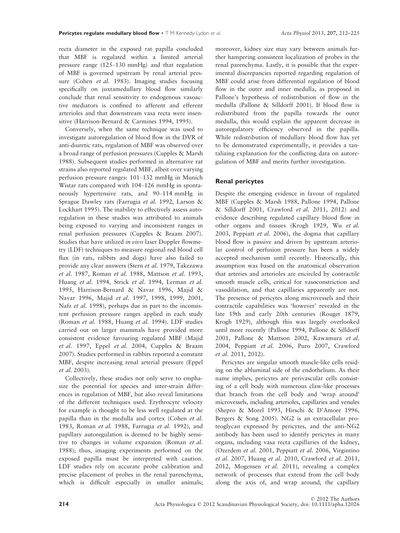recta diameter in the exposed rat papilla concluded that MBF is regulated within a limited arterial pressure range (125–130 mmHg) and that regulation of MBF is governed upstream by renal arterial pressure (Cohen *et al.* 1983). Imaging studies focusing specifically on juxtamedullary blood flow similarly conclude that renal sensitivity to endogenous vasoactive mediators is confined to afferent and efferent arterioles and that downstream vasa recta were insensitive (Harrison-Bernard & Carmines 1994, 1995).

Conversely, when the same technique was used to investigate autoregulation of blood flow in the DVR of anti-diuretic rats, regulation of MBF was observed over a broad range of perfusion pressures (Cupples & Marsh 1988). Subsequent studies performed in alternative rat strains also reported regulated MBF, albeit over varying perfusion pressure ranges: 101–132 mmHg in Munich Wistar rats compared with 104–126 mmHg in spontaneously hypertensive rats, and 90–114 mmHg in Sprague Dawley rats (Farrugia *et al.* 1992, Larson & Lockhart 1995). The inability to effectively assess autoregulation in these studies was attributed to animals being exposed to varying and inconsistent ranges in renal perfusion pressures (Cupples & Braam 2007). Studies that have utilized *in vivo* laser Doppler flowmetry (LDF) techniques to measure regional red blood cell flux (in rats, rabbits and dogs) have also failed to provide any clear answers (Stern *et al.* 1979, Takezawa *et al.* 1987, Roman *et al.* 1988, Mattson *et al.* 1993, Huang *et al.* 1994, Strick *et al.* 1994, Lerman *et al.* 1995, Harrison-Bernard & Navar 1996, Majid & Navar 1996, Majid *et al.* 1997, 1998, 1999, 2001, Nafz *et al.* 1998), perhaps due in part to the inconsistent perfusion pressure ranges applied in each study (Roman *et al.* 1988, Huang *et al.* 1994). LDF studies carried out on larger mammals have provided more consistent evidence favouring regulated MBF (Majid *et al.* 1997, Eppel *et al.* 2004, Cupples & Braam 2007). Studies performed in rabbits reported a constant MBF, despite increasing renal arterial pressure (Eppel *et al.* 2003).

Collectively, these studies not only serve to emphasize the potential for species and inter-strain differences in regulation of MBF, but also reveal limitations of the different techniques used. Erythrocyte velocity for example is thought to be less well regulated at the papilla than in the medulla and cortex (Cohen *et al.* 1983, Roman *et al.* 1988, Farrugia *et al.* 1992), and papillary autoregulation is deemed to be highly sensitive to changes in volume expansion (Roman *et al.* 1988); thus, imaging experiments performed on the exposed papilla must be interpreted with caution. LDF studies rely on accurate probe calibration and precise placement of probes in the renal parenchyma, which is difficult especially in smaller animals;

moreover, kidney size may vary between animals further hampering consistent localization of probes in the renal parenchyma. Lastly, it is possible that the experimental discrepancies reported regarding regulation of MBF could arise from differential regulation of blood flow in the outer and inner medulla, as proposed in Pallone's hypothesis of redistribution of flow in the medulla (Pallone & Silldorff 2001). If blood flow is redistributed from the papilla towards the outer medulla, this would explain the apparent decrease in autoregulatory efficiency observed in the papilla. While redistribution of medullary blood flow has yet to be demonstrated experimentally, it provides a tantalizing explanation for the conflicting data on autoregulation of MBF and merits further investigation.

#### Renal pericytes

Despite the emerging evidence in favour of regulated MBF (Cupples & Marsh 1988, Pallone 1994, Pallone & Silldorff 2001, Crawford *et al.* 2011, 2012) and evidence describing regulated capillary blood flow in other organs and tissues (Krogh 1929, Wu *et al.* 2003, Peppiatt *et al.* 2006), the dogma that capillary blood flow is passive and driven by upstream arteriolar control of perfusion pressure has been a widely accepted mechanism until recently. Historically, this assumption was based on the anatomical observation that arteries and arterioles are encircled by contractile smooth muscle cells, critical for vasoconstriction and vasodilation, and that capillaries apparently are not. The presence of pericytes along microvessels and their contractile capabilities was 'however' revealed in the late 19th and early 20th centuries (Rouget 1879, Krogh 1929), although this was largely overlooked until more recently (Pallone 1994, Pallone & Silldorff 2001, Pallone & Mattson 2002, Kawamura *et al.* 2004, Peppiatt *et al.* 2006, Puro 2007, Crawford *et al.* 2011, 2012).

Pericytes are singular smooth muscle-like cells residing on the abluminal side of the endothelium. As their name implies, pericytes are perivascular cells consisting of a cell body with numerous claw-like processes that branch from the cell body and 'wrap around' microvessels, including arterioles, capillaries and venules (Shepro & Morel 1993, Hirschi & D'Amore 1996, Bergers & Song 2005). NG2 is an extracellular proteoglycan expressed by pericytes, and the anti-NG2 antibody has been used to identify pericytes in many organs, including vasa recta capillaries of the kidney, (Ozerdem *et al.* 2001, Peppiatt *et al.* 2006, Virgintino *et al.* 2007, Huang *et al.* 2010, Crawford *et al.* 2011, 2012, Mogensen *et al.* 2011), revealing a complex network of processes that extend from the cell body along the axis of, and wrap around, the capillary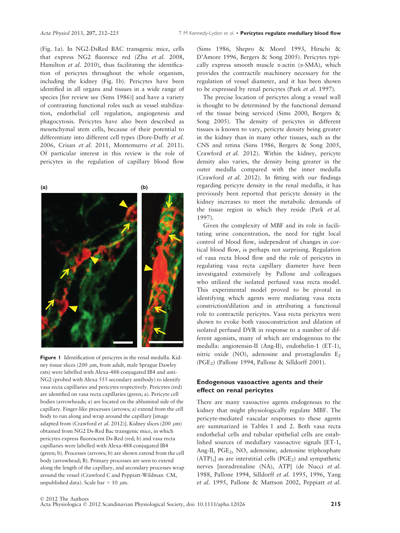(Fig. 1a). In NG2-DsRed BAC transgenic mice, cells that express NG2 fluoresce red (Zhu *et al.* 2008, Hamilton *et al.* 2010), thus facilitating the identification of pericytes throughout the whole organism, including the kidney (Fig. 1b). Pericytes have been identified in all organs and tissues in a wide range of species [for review see (Sims 1986)] and have a variety of contrasting functional roles such as vessel stabilization, endothelial cell regulation, angiogenesis and phagocytosis. Pericytes have also been described as mesenchymal stem cells, because of their potential to differentiate into different cell types (Dore-Duffy *et al.* 2006, Crisan *et al.* 2011, Montemurro *et al.* 2011). Of particular interest in this review is the role of pericytes in the regulation of capillary blood flow



Figure 1 Identification of pericytes in the renal medulla. Kidney tissue slices (200  $\mu$ m, from adult, male Sprague Dawley rats) were labelled with Alexa-488-conjugated IB4 and anti-NG2 (probed with Alexa 555 secondary antibody) to identify vasa recta capillaries and pericytes respectively. Pericytes (red) are identified on vasa recta capillaries (green; a). Pericyte cell bodies (arrowheads; a) are located on the abluminal side of the capillary. Finger-like processes (arrows; a) extend from the cell body to run along and wrap around the capillary [image adapted from (Crawford et al. 2012)]. Kidney slices (200  $\mu$ m) obtained from NG2 Ds-Red Bac transgenic mice, in which pericytes express fluorescent Ds-Red (red; b) and vasa recta capillaries were labelled with Alexa-488-conjugated IB4 (green; b). Processes (arrows; b) are shown extend from the cell body (arrowhead; B). Primary processes are seen to extend along the length of the capillary, and secondary processes wrap around the vessel (Crawford C and Peppiatt-Wildman CM, unpublished data). Scale bar = 10  $\mu$ m.

(Sims 1986, Shepro & Morel 1993, Hirschi & D'Amore 1996, Bergers & Song 2005). Pericytes typically express smooth muscle  $\alpha$ -actin ( $\alpha$ -SMA), which provides the contractile machinery necessary for the regulation of vessel diameter, and it has been shown to be expressed by renal pericytes (Park *et al.* 1997).

The precise location of pericytes along a vessel wall is thought to be determined by the functional demand of the tissue being serviced (Sims 2000, Bergers & Song 2005). The density of pericytes in different tissues is known to vary, pericyte density being greater in the kidney than in many other tissues, such as the CNS and retina (Sims 1986, Bergers & Song 2005, Crawford *et al.* 2012). Within the kidney, pericyte density also varies, the density being greater in the outer medulla compared with the inner medulla (Crawford *et al.* 2012). In fitting with our findings regarding pericyte density in the renal medulla, it has previously been reported that pericyte density in the kidney increases to meet the metabolic demands of the tissue region in which they reside (Park *et al.* 1997).

Given the complexity of MBF and its role in facilitating urine concentration, the need for tight local control of blood flow, independent of changes in cortical blood flow, is perhaps not surprising. Regulation of vasa recta blood flow and the role of pericytes in regulating vasa recta capillary diameter have been investigated extensively by Pallone and colleagues who utilized the isolated perfused vasa recta model. This experimental model proved to be pivotal in identifying which agents were mediating vasa recta constriction/dilation and in attributing a functional role to contractile pericytes. Vasa recta pericytes were shown to evoke both vasoconstriction and dilation of isolated perfused DVR in response to a number of different agonists, many of which are endogenous to the medulla: angiotensin-II (Ang-II), endothelin-1 (ET-1), nitric oxide (NO), adenosine and prostaglandin E<sub>2</sub>  $(PGE<sub>2</sub>)$  (Pallone 1994, Pallone & Silldorff 2001).

#### Endogenous vasoactive agents and their effect on renal pericytes

There are many vasoactive agents endogenous to the kidney that might physiologically regulate MBF. The pericyte-mediated vascular responses to these agents are summarized in Tables 1 and 2. Both vasa recta endothelial cells and tubular epithelial cells are established sources of medullary vasoactive signals [ET-1, Ang-II, PGE<sub>2</sub>, NO, adenosine, adenosine triphosphate  $(ATP)$ , as are interstitial cells  $(PGE<sub>2</sub>)$  and sympathetic nerves [noradrenaline (NA), ATP] (de Nucci *et al.* 1988, Pallone 1994, Silldorff *et al.* 1995, 1996, Yang *et al.* 1995, Pallone & Mattson 2002, Peppiatt *et al.*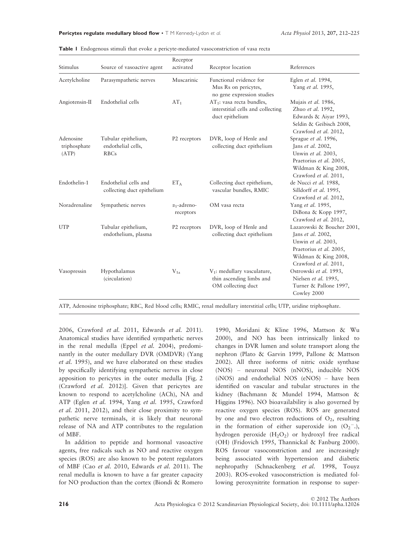| Stimulus                           | Source of vasoactive agent                               | Receptor<br>activated            | Receptor location                                                                    | References                                                                                                                                        |
|------------------------------------|----------------------------------------------------------|----------------------------------|--------------------------------------------------------------------------------------|---------------------------------------------------------------------------------------------------------------------------------------------------|
| Acetylcholine                      | Parasympathetic nerves                                   | Muscarinic                       | Functional evidence for<br>Mus Rs on pericytes,<br>no gene expression studies        | Eglen et al. 1994,<br>Yang et al. 1995,                                                                                                           |
| Angiotensin-II                     | Endothelial cells                                        | AT <sub>1</sub>                  | $AT_1$ : vasa recta bundles,<br>interstitial cells and collecting<br>duct epithelium | Mujais et al. 1986,<br>Zhuo et al. 1992,<br>Edwards & Aiyar 1993,<br>Seldin & Geibisch 2008,<br>Crawford et al. 2012,                             |
| Adenosine<br>triphosphate<br>(ATP) | Tubular epithelium,<br>endothelial cells,<br><b>RBCs</b> | P <sub>2</sub> receptors         | DVR, loop of Henle and<br>collecting duct epithelium                                 | Sprague et al. 1996,<br>Jans et al. 2002,<br>Unwin et al. 2003,<br>Praetorius et al. 2005,<br>Wildman & King 2008,<br>Crawford et al. 2011,       |
| Endothelin-1                       | Endothelial cells and<br>collecting duct epithelium      | $ET_A$                           | Collecting duct epithelium,<br>vascular bundles, RMIC                                | de Nucci et al. 1988,<br>Silldorff et al. 1995,<br>Crawford et al. 2012,                                                                          |
| Noradrenaline                      | Sympathetic nerves                                       | $\alpha_1$ -adreno-<br>receptors | OM vasa recta                                                                        | Yang et al. 1995,<br>DiBona & Kopp 1997,<br>Crawford et al. 2012,                                                                                 |
| <b>UTP</b>                         | Tubular epithelium,<br>endothelium, plasma               | P <sub>2</sub> receptors         | DVR, loop of Henle and<br>collecting duct epithelium                                 | Lazarowski & Boucher 2001,<br>Jans et al. 2002,<br>Unwin et al. 2003,<br>Praetorius et al. 2005,<br>Wildman & King 2008,<br>Crawford et al. 2011, |
| Vasopressin                        | Hypothalamus<br>(circulation)                            | $V_{1a}$                         | $V_1$ : medullary vasculature,<br>thin ascending limbs and<br>OM collecting duct     | Ostrowski et al. 1993,<br>Nielsen et al. 1995,<br>Turner & Pallone 1997,<br>Cowley 2000                                                           |

Table 1 Endogenous stimuli that evoke a pericyte-mediated vasoconstriction of vasa recta

ATP, Adenosine triphosphate; RBC, Red blood cells; RMIC, renal medullary interstitial cells; UTP, uridine triphosphate.

2006, Crawford *et al.* 2011, Edwards *et al.* 2011). Anatomical studies have identified sympathetic nerves in the renal medulla (Eppel *et al.* 2004), predominantly in the outer medullary DVR (OMDVR) (Yang *et al.* 1995), and we have elaborated on these studies by specifically identifying sympathetic nerves in close apposition to pericytes in the outer medulla [Fig. 2 (Crawford *et al.* 2012)]. Given that pericytes are known to respond to acetylcholine (ACh), NA and ATP (Eglen *et al.* 1994, Yang *et al.* 1995, Crawford *et al.* 2011, 2012), and their close proximity to sympathetic nerve terminals, it is likely that neuronal release of NA and ATP contributes to the regulation of MBF.

In addition to peptide and hormonal vasoactive agents, free radicals such as NO and reactive oxygen species (ROS) are also known to be potent regulators of MBF (Cao *et al.* 2010, Edwards *et al.* 2011). The renal medulla is known to have a far greater capacity for NO production than the cortex (Biondi & Romero

1990, Moridani & Kline 1996, Mattson & Wu 2000), and NO has been intrinsically linked to changes in DVR lumen and solute transport along the nephron (Plato & Garvin 1999, Pallone & Mattson 2002). All three isoforms of nitric oxide synthase (NOS) – neuronal NOS (nNOS), inducible NOS (iNOS) and endothelial NOS (eNOS) – have been identified on vascular and tubular structures in the kidney (Bachmann & Mundel 1994, Mattson & Higgins 1996). NO bioavailability is also governed by reactive oxygen species (ROS). ROS are generated by one and two electron reductions of  $O_2$ , resulting in the formation of either superoxide ion  $(O_2^-)$ , hydrogen peroxide  $(H_2O_2)$  or hydroxyl free radical (OH) (Fridovich 1995, Thannickal & Fanburg 2000). ROS favour vasoconstriction and are increasingly being associated with hypertension and diabetic nephropathy (Schnackenberg *et al.* 1998, Touyz 2003). ROS-evoked vasoconstriction is mediated following peroxynitrite formation in response to super-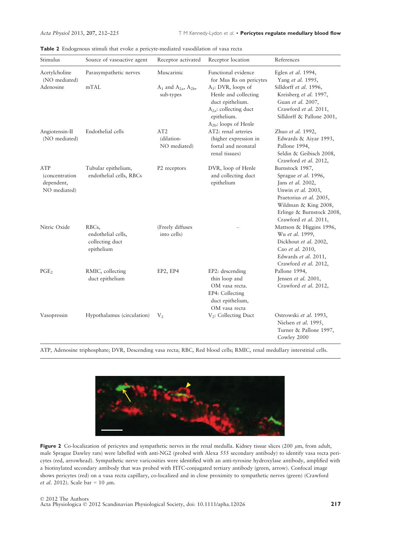| Stimulus                                            | Source of vasoactive agent                                   | Receptor activated                           | Receptor location                                                                                                                                           | References                                                                                                                                                                                  |
|-----------------------------------------------------|--------------------------------------------------------------|----------------------------------------------|-------------------------------------------------------------------------------------------------------------------------------------------------------------|---------------------------------------------------------------------------------------------------------------------------------------------------------------------------------------------|
| Acetylcholine<br>(NO mediated)                      | Parasympathetic nerves                                       | Muscarinic                                   | Functional evidence<br>for Mus Rs on pericytes                                                                                                              | Eglen et al. 1994,<br>Yang et al. 1995,                                                                                                                                                     |
| Adenosine                                           | mTAL                                                         | $A_1$ and $A_{2a}$ , $A_{2b}$ ,<br>sub-types | A <sub>1</sub> : DVR, loops of<br>Henle and collecting<br>duct epithelium.<br>$A_{2a}$ : collecting duct<br>epithelium.<br>A <sub>2b</sub> : loops of Henle | Silldorff et al. 1996,<br>Kreisberg et al. 1997,<br>Guan et al. 2007,<br>Crawford et al. 2011,<br>Silldorff & Pallone 2001,                                                                 |
| Angiotensin-II<br>(NO mediated)                     | Endothelial cells                                            | AT2<br>(dilation-<br>NO mediated)            | AT2: renal arteries<br>(higher expression in<br>foetal and neonatal<br>renal tissues)                                                                       | Zhuo et al. 1992,<br>Edwards & Aiyar 1993,<br>Pallone 1994,<br>Seldin & Geibisch 2008,<br>Crawford et al. 2012,                                                                             |
| ATP<br>(concentration<br>dependent,<br>NO mediated) | Tubular epithelium,<br>endothelial cells, RBCs               | P2 receptors                                 | DVR, loop of Henle<br>and collecting duct<br>epithelium                                                                                                     | Burnstock 1987,<br>Sprague et al. 1996,<br>Jans et al. 2002,<br>Unwin et al. 2003,<br>Praetorius et al. 2005,<br>Wildman & King 2008,<br>Erlinge & Burnstock 2008,<br>Crawford et al. 2011, |
| Nitric Oxide                                        | RBCs,<br>endothelial cells,<br>collecting duct<br>epithelium | (Freely diffuses<br>into cells)              |                                                                                                                                                             | Mattson & Higgins 1996,<br>Wu et al. 1999,<br>Dickhout et al. 2002,<br>Cao et al. 2010,<br>Edwards et al. 2011,<br>Crawford et al. 2012,                                                    |
| PGE <sub>2</sub>                                    | RMIC, collecting<br>duct epithelium                          | EP2, EP4                                     | EP2: descending<br>thin loop and<br>OM vasa recta.<br>EP4: Collecting<br>duct epithelium,<br>OM vasa recta                                                  | Pallone 1994,<br>Jensen et al. 2001,<br>Crawford et al. 2012,                                                                                                                               |
| Vasopressin                                         | Hypothalamus (circulation)                                   | V <sub>2</sub>                               | $V_2$ : Collecting Duct                                                                                                                                     | Ostrowski et al. 1993,<br>Nielsen et al. 1995,<br>Turner & Pallone 1997,<br>Cowley 2000                                                                                                     |

Table 2 Endogenous stimuli that evoke a pericyte-mediated vasodilation of vasa recta

ATP, Adenosine triphosphate; DVR, Descending vasa recta; RBC, Red blood cells; RMIC, renal medullary interstitial cells.



Figure 2 Co-localization of pericytes and sympathetic nerves in the renal medulla. Kidney tissue slices (200  $\mu$ m, from adult, male Sprague Dawley rats) were labelled with anti-NG2 (probed with Alexa 555 secondary antibody) to identify vasa recta pericytes (red, arrowhead). Sympathetic nerve varicosities were identified with an anti-tyrosine hydroxylase antibody, amplified with a biotinylated secondary antibody that was probed with FITC-conjugated tertiary antibody (green, arrow). Confocal image shows pericytes (red) on a vasa recta capillary, co-localized and in close proximity to sympathetic nerves (green) (Crawford *et al.* 2012). Scale bar = 10  $\mu$ m.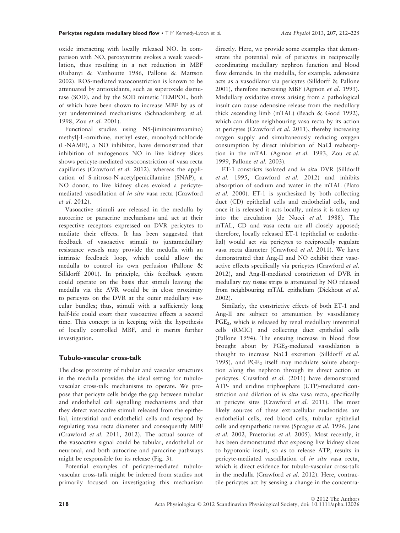oxide interacting with locally released NO. In comparison with NO, peroxynitrite evokes a weak vasodilation, thus resulting in a net reduction in MBF (Rubanyi & Vanhoutte 1986, Pallone & Mattson 2002). ROS-mediated vasoconstriction is known to be attenuated by antioxidants, such as superoxide dismutase (SOD), and by the SOD mimetic TEMPOL, both of which have been shown to increase MBF by as of yet undetermined mechanisms (Schnackenberg *et al.* 1998, Zou *et al.* 2001).

Functional studies using N5-[imino(nitroamino) methyl]-L-ornithine, methyl ester, monohydrochloride (L-NAME), a NO inhibitor, have demonstrated that inhibition of endogenous NO in live kidney slices shows pericyte-mediated vasoconstriction of vasa recta capillaries (Crawford *et al.* 2012), whereas the application of S-nitroso-N-acetylpenicillamine (SNAP), a NO donor, to live kidney slices evoked a pericytemediated vasodilation of *in situ* vasa recta (Crawford *et al.* 2012).

Vasoactive stimuli are released in the medulla by autocrine or paracrine mechanisms and act at their respective receptors expressed on DVR pericytes to mediate their effects. It has been suggested that feedback of vasoactive stimuli to juxtamedullary resistance vessels may provide the medulla with an intrinsic feedback loop, which could allow the medulla to control its own perfusion (Pallone & Silldorff 2001). In principle, this feedback system could operate on the basis that stimuli leaving the medulla via the AVR would be in close proximity to pericytes on the DVR at the outer medullary vascular bundles; thus, stimuli with a sufficiently long half-life could exert their vasoactive effects a second time. This concept is in keeping with the hypothesis of locally controlled MBF, and it merits further investigation.

#### Tubulo-vascular cross-talk

The close proximity of tubular and vascular structures in the medulla provides the ideal setting for tubulovascular cross-talk mechanisms to operate. We propose that pericyte cells bridge the gap between tubular and endothelial cell signalling mechanisms and that they detect vasoactive stimuli released from the epithelial, interstitial and endothelial cells and respond by regulating vasa recta diameter and consequently MBF (Crawford *et al.* 2011, 2012). The actual source of the vasoactive signal could be tubular, endothelial or neuronal, and both autocrine and paracrine pathways might be responsible for its release (Fig. 3).

Potential examples of pericyte-mediated tubulovascular cross-talk might be inferred from studies not primarily focused on investigating this mechanism directly. Here, we provide some examples that demonstrate the potential role of pericytes in reciprocally coordinating medullary nephron function and blood flow demands. In the medulla, for example, adenosine acts as a vasodilator via pericytes (Silldorff & Pallone 2001), therefore increasing MBF (Agmon *et al.* 1993). Medullary oxidative stress arising from a pathological insult can cause adenosine release from the medullary thick ascending limb (mTAL) (Beach & Good 1992), which can dilate neighbouring vasa recta by its action at pericytes (Crawford *et al.* 2011), thereby increasing oxygen supply and simultaneously reducing oxygen consumption by direct inhibition of NaCl reabsorption in the mTAL (Agmon *et al.* 1993, Zou *et al.* 1999, Pallone *et al.* 2003).

ET-1 constricts isolated and *in situ* DVR (Silldorff *et al.* 1995, Crawford *et al.* 2012) and inhibits absorption of sodium and water in the mTAL (Plato *et al.* 2000). ET-1 is synthesized by both collecting duct (CD) epithelial cells and endothelial cells, and once it is released it acts locally, unless it is taken up into the circulation (de Nucci *et al.* 1988). The mTAL, CD and vasa recta are all closely apposed; therefore, locally released ET-1 (epithelial or endothelial) would act via pericytes to reciprocally regulate vasa recta diameter (Crawford *et al.* 2011). We have demonstrated that Ang-II and NO exhibit their vasoactive effects specifically via pericytes (Crawford *et al.* 2012), and Ang-II-mediated constriction of DVR in medullary ray tissue strips is attenuated by NO released from neighbouring mTAL epithelium (Dickhout *et al.* 2002).

Similarly, the constrictive effects of both ET-1 and Ang-II are subject to attenuation by vasodilatory PGE<sub>2</sub>, which is released by renal medullary interstitial cells (RMIC) and collecting duct epithelial cells (Pallone 1994). The ensuing increase in blood flow brought about by PGE<sub>2</sub>-mediated vasodilation is thought to increase NaCl excretion (Silldorff *et al.* 1995), and  $PGE<sub>2</sub>$  itself may modulate solute absorption along the nephron through its direct action at pericytes. Crawford *et al.* (2011) have demonstrated ATP- and uridine triphosphate (UTP)-mediated constriction and dilation of *in situ* vasa recta, specifically at pericyte sites (Crawford *et al.* 2011). The most likely sources of these extracellular nucleotides are endothelial cells, red blood cells, tubular epithelial cells and sympathetic nerves (Sprague *et al.* 1996, Jans *et al.* 2002, Praetorius *et al.* 2005). Most recently, it has been demonstrated that exposing live kidney slices to hypotonic insult, so as to release ATP, results in pericyte-mediated vasodilation of *in situ* vasa recta, which is direct evidence for tubulo-vascular cross-talk in the medulla (Crawford *et al.* 2012). Here, contractile pericytes act by sensing a change in the concentra-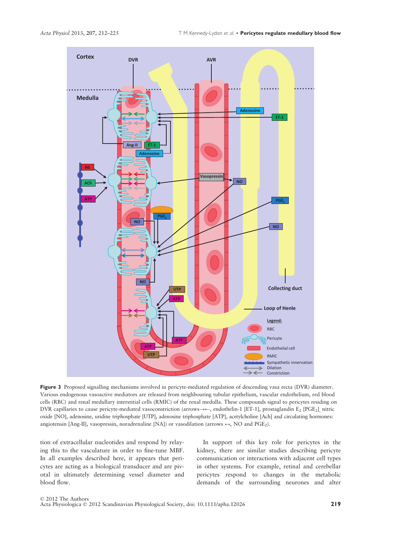

Figure 3 Proposed signalling mechanisms involved in pericyte-mediated regulation of descending vasa recta (DVR) diameter. Various endogenous vasoactive mediators are released from neighbouring tubular epithelium, vascular endothelium, red blood cells (RBC) and renal medullary interstitial cells (RMIC) of the renal medulla. These compounds signal to pericytes residing on DVR capillaries to cause pericyte-mediated vasoconstriction (arrows→←, endothelin-1 [ET-1], prostaglandin E<sup>2</sup> [PGE2], nitric oxide [NO], adenosine, uridine triphosphate [UTP], adenosine triphosphate [ATP], acetylcholine [Ach] and circulating hormones: angiotensin [Ang-II], vasopressin, noradrenaline [NA]) or vasodilation (arrows  $\leftrightarrow$ , NO and PGE<sub>2</sub>).

tion of extracellular nucleotides and respond by relaying this to the vasculature in order to fine-tune MBF. In all examples described here, it appears that pericytes are acting as a biological transducer and are pivotal in ultimately determining vessel diameter and blood flow.

In support of this key role for pericytes in the kidney, there are similar studies describing pericyte communication or interactions with adjacent cell types in other systems. For example, retinal and cerebellar pericytes respond to changes in the metabolic demands of the surrounding neurones and alter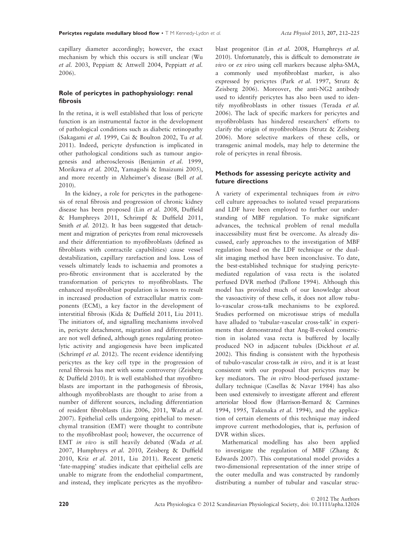capillary diameter accordingly; however, the exact mechanism by which this occurs is still unclear (Wu *et al.* 2003, Peppiatt & Attwell 2004, Peppiatt *et al.* 2006).

#### Role of pericytes in pathophysiology: renal fibrosis

In the retina, it is well established that loss of pericyte function is an instrumental factor in the development of pathological conditions such as diabetic retinopathy (Sakagami *et al.* 1999, Cai & Boulton 2002, Tu *et al.* 2011). Indeed, pericyte dysfunction is implicated in other pathological conditions such as tumour angiogenesis and atherosclerosis (Benjamin *et al.* 1999, Morikawa *et al.* 2002, Yamagishi & Imaizumi 2005), and more recently in Alzheimer's disease (Bell *et al.* 2010).

In the kidney, a role for pericytes in the pathogenesis of renal fibrosis and progression of chronic kidney disease has been proposed (Lin *et al.* 2008, Duffield & Humphreys 2011, Schrimpf & Duffield 2011, Smith *et al.* 2012). It has been suggested that detachment and migration of pericytes from renal microvessels and their differentiation to myofibroblasts (defined as fibroblasts with contractile capabilities) cause vessel destabilization, capillary rarefaction and loss. Loss of vessels ultimately leads to ischaemia and promotes a pro-fibrotic environment that is accelerated by the transformation of pericytes to myofibroblasts. The enhanced myofibroblast population is known to result in increased production of extracellular matrix components (ECM), a key factor in the development of interstitial fibrosis (Kida & Duffield 2011, Liu 2011). The initiators of, and signalling mechanisms involved in, pericyte detachment, migration and differentiation are not well defined, although genes regulating proteolytic activity and angiogenesis have been implicated (Schrimpf *et al.* 2012). The recent evidence identifying pericytes as the key cell type in the progression of renal fibrosis has met with some controversy (Zeisberg & Duffield 2010). It is well established that myofibroblasts are important in the pathogenesis of fibrosis, although myofibroblasts are thought to arise from a number of different sources, including differentiation of resident fibroblasts (Liu 2006, 2011, Wada *et al.* 2007). Epithelial cells undergoing epithelial to mesenchymal transition (EMT) were thought to contribute to the myofibroblast pool; however, the occurrence of EMT *in vivo* is still heavily debated (Wada *et al.* 2007, Humphreys *et al.* 2010, Zeisberg & Duffield 2010, Kriz *et al.* 2011, Liu 2011). Recent genetic 'fate-mapping' studies indicate that epithelial cells are unable to migrate from the endothelial compartment, and instead, they implicate pericytes as the myofibroblast progenitor (Lin *et al.* 2008, Humphreys *et al.* 2010). Unfortunately, this is difficult to demonstrate *in vivo* or *ex vivo* using cell markers because alpha-SMA, a commonly used myofibroblast marker, is also expressed by pericytes (Park *et al.* 1997, Strutz & Zeisberg 2006). Moreover, the anti-NG2 antibody used to identify pericytes has also been used to identify myofibroblasts in other tissues (Terada *et al.* 2006). The lack of specific markers for pericytes and myofibroblasts has hindered researchers' efforts to clarify the origin of myofibroblasts (Strutz & Zeisberg 2006). More selective markers of these cells, or transgenic animal models, may help to determine the role of pericytes in renal fibrosis.

#### Methods for assessing pericyte activity and future directions

A variety of experimental techniques from *in vitro* cell culture approaches to isolated vessel preparations and LDF have been employed to further our understanding of MBF regulation. To make significant advances, the technical problem of renal medulla inaccessibility must first be overcome. As already discussed, early approaches to the investigation of MBF regulation based on the LDF technique or the dualslit imaging method have been inconclusive. To date, the best-established technique for studying pericytemediated regulation of vasa recta is the isolated perfused DVR method (Pallone 1994). Although this model has provided much of our knowledge about the vasoactivity of these cells, it does not allow tubulo-vascular cross-talk mechanisms to be explored. Studies performed on microtissue strips of medulla have alluded to 'tubular-vascular cross-talk' in experiments that demonstrated that Ang-II-evoked constriction in isolated vasa recta is buffered by locally produced NO in adjacent tubules (Dickhout *et al.* 2002). This finding is consistent with the hypothesis of tubulo-vascular cross-talk *in vivo*, and it is at least consistent with our proposal that pericytes may be key mediators. The *in vitro* blood-perfused juxtamedullary technique (Casellas & Navar 1984) has also been used extensively to investigate afferent and efferent arteriolar blood flow (Harrison-Bernard & Carmines 1994, 1995, Takenaka *et al.* 1994), and the application of certain elements of this technique may indeed improve current methodologies, that is, perfusion of DVR within slices.

Mathematical modelling has also been applied to investigate the regulation of MBF (Zhang & Edwards 2007). This computational model provides a two-dimensional representation of the inner stripe of the outer medulla and was constructed by randomly distributing a number of tubular and vascular struc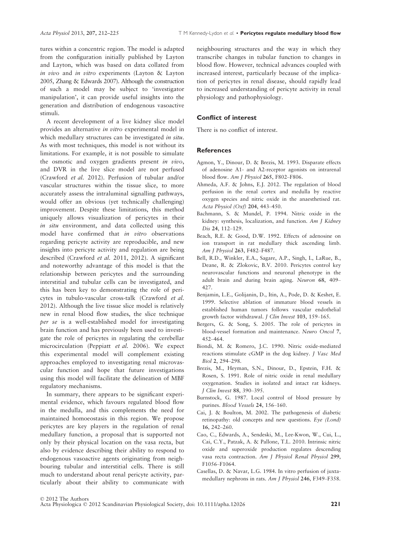tures within a concentric region. The model is adapted from the configuration initially published by Layton and Layton, which was based on data collated from *in vivo* and *in vitro* experiments (Layton & Layton 2005, Zhang & Edwards 2007). Although the construction of such a model may be subject to 'investigator manipulation', it can provide useful insights into the generation and distribution of endogenous vasoactive stimuli.

A recent development of a live kidney slice model provides an alternative *in vitro* experimental model in which medullary structures can be investigated *in situ*. As with most techniques, this model is not without its limitations. For example, it is not possible to simulate the osmotic and oxygen gradients present *in vivo*, and DVR in the live slice model are not perfused (Crawford *et al.* 2012). Perfusion of tubular and/or vascular structures within the tissue slice, to more accurately assess the intraluminal signalling pathways, would offer an obvious (yet technically challenging) improvement. Despite these limitations, this method uniquely allows visualization of pericytes in their *in situ* environment, and data collected using this model have confirmed that *in vitro* observations regarding pericyte activity are reproducible, and new insights into pericyte activity and regulation are being described (Crawford *et al.* 2011, 2012). A significant and noteworthy advantage of this model is that the relationship between pericytes and the surrounding interstitial and tubular cells can be investigated, and this has been key to demonstrating the role of pericytes in tubulo-vascular cross-talk (Crawford *et al.* 2012). Although the live tissue slice model is relatively new in renal blood flow studies, the slice technique *per se* is a well-established model for investigating brain function and has previously been used to investigate the role of pericytes in regulating the cerebellar microcirculation (Peppiatt *et al.* 2006). We expect this experimental model will complement existing approaches employed to investigating renal microvascular function and hope that future investigations using this model will facilitate the delineation of MBF regulatory mechanisms.

In summary, there appears to be significant experimental evidence, which favours regulated blood flow in the medulla, and this complements the need for maintained homoeostasis in this region. We propose pericytes are key players in the regulation of renal medullary function, a proposal that is supported not only by their physical location on the vasa recta, but also by evidence describing their ability to respond to endogenous vasoactive agents originating from neighbouring tubular and interstitial cells. There is still much to understand about renal pericyte activity, particularly about their ability to communicate with neighbouring structures and the way in which they transcribe changes in tubular function to changes in blood flow. However, technical advances coupled with increased interest, particularly because of the implication of pericytes in renal disease, should rapidly lead to increased understanding of pericyte activity in renal physiology and pathophysiology.

#### Conflict of interest

There is no conflict of interest.

#### References

- Agmon, Y., Dinour, D. & Brezis, M. 1993. Disparate effects of adenosine A1- and A2-receptor agonists on intrarenal blood flow. *Am J Physiol* 265, F802–F806.
- Ahmeda, A.F. & Johns, E.J. 2012. The regulation of blood perfusion in the renal cortex and medulla by reactive oxygen species and nitric oxide in the anaesthetised rat. *Acta Physiol (Oxf)* 204, 443–450.
- Bachmann, S. & Mundel, P. 1994. Nitric oxide in the kidney: synthesis, localization, and function. *Am J Kidney Dis* 24, 112–129.
- Beach, R.E. & Good, D.W. 1992. Effects of adenosine on ion transport in rat medullary thick ascending limb. *Am J Physiol* 263, F482–F487.
- Bell, R.D., Winkler, E.A., Sagare, A.P., Singh, I., LaRue, B., Deane, R. & Zlokovic, B.V. 2010. Pericytes control key neurovascular functions and neuronal phenotype in the adult brain and during brain aging. *Neuron* 68, 409– 427.
- Benjamin, L.E., Golijanin, D., Itin, A., Pode, D. & Keshet, E. 1999. Selective ablation of immature blood vessels in established human tumors follows vascular endothelial growth factor withdrawal. *J Clin Invest* 103, 159–165.
- Bergers, G. & Song, S. 2005. The role of pericytes in blood-vessel formation and maintenance. *Neuro Oncol* 7, 452–464.
- Biondi, M. & Romero, J.C. 1990. Nitric oxide-mediated reactions stimulate cGMP in the dog kidney. *J Vasc Med Biol* 2, 294–298.
- Brezis, M., Heyman, S.N., Dinour, D., Epstein, F.H. & Rosen, S. 1991. Role of nitric oxide in renal medullary oxygenation. Studies in isolated and intact rat kidneys. *J Clin Invest* 88, 390–395.
- Burnstock, G. 1987. Local control of blood pressure by purines. *Blood Vessels* 24, 156–160.
- Cai, J. & Boulton, M. 2002. The pathogenesis of diabetic retinopathy: old concepts and new questions. *Eye (Lond)* 16, 242–260.
- Cao, C., Edwards, A., Sendeski, M., Lee-Kwon, W., Cui, L., Cai, C.Y., Patzak, A. & Pallone, T.L. 2010. Intrinsic nitric oxide and superoxide production regulates descending vasa recta contraction. *Am J Physiol Renal Physiol* 299, F1056–F1064.
- Casellas, D. & Navar, L.G. 1984. In vitro perfusion of juxtamedullary nephrons in rats. *Am J Physiol* 246, F349–F358.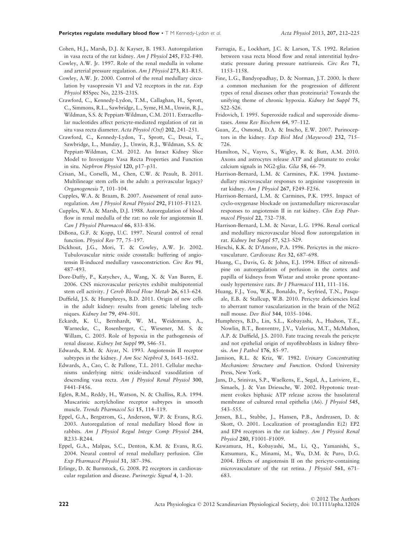#### Pericytes regulate medullary blood flow . T M Kennedy-Lydon et al.

- Cohen, H.J., Marsh, D.J. & Kayser, B. 1983. Autoregulation in vasa recta of the rat kidney. *Am J Physiol* 245, F32–F40.
- Cowley, A.W. Jr. 1997. Role of the renal medulla in volume and arterial pressure regulation. *Am J Physiol* 273, R1–R15.
- Cowley, A.W. Jr. 2000. Control of the renal medullary circulation by vasopressin V1 and V2 receptors in the rat. *Exp Physiol* 85Spec No, 223S–231S.
- Crawford, C., Kennedy-Lydon, T.M., Callaghan, H., Sprott, C., Simmons, R.L., Sawbridge, L., Syme, H.M., Unwin, R.J., Wildman, S.S. & Peppiatt-Wildman, C.M. 2011. Extracellular nucleotides affect pericyte-mediated regulation of rat in situ vasa recta diameter. *Acta Physiol (Oxf)* 202, 241–251.
- Crawford, C., Kennedy-Lydon, T., Sprott, C., Desai, T., Sawbridge, L., Munday, J., Unwin, R.J., Wildman, S.S. & Peppiatt-Wildman, C.M. 2012. An Intact Kidney Slice Model to Investigate Vasa Recta Properties and Function in situ. *Nephron Physiol* 120, p17–p31.
- Crisan, M., Corselli, M., Chen, C.W. & Peault, B. 2011. Multilineage stem cells in the adult: a perivascular legacy? *Organogenesis* 7, 101–104.
- Cupples, W.A. & Braam, B. 2007. Assessment of renal autoregulation. *Am J Physiol Renal Physiol* 292, F1105–F1123.
- Cupples, W.A. & Marsh, D.J. 1988. Autoregulation of blood flow in renal medulla of the rat: no role for angiotensin II. *Can J Physiol Pharmacol* 66, 833–836.
- DiBona, G.F. & Kopp, U.C. 1997. Neural control of renal function. *Physiol Rev* 77, 75–197.
- Dickhout, J.G., Mori, T. & Cowley, A.W. Jr. 2002. Tubulovascular nitric oxide crosstalk: buffering of angiotensin II-induced medullary vasoconstriction. *Circ Res* 91, 487–493.
- Dore-Duffy, P., Katychev, A., Wang, X. & Van Buren, E. 2006. CNS microvascular pericytes exhibit multipotential stem cell activity. *J Cereb Blood Flow Metab* 26, 613–624.
- Duffield, J.S. & Humphreys, B.D. 2011. Origin of new cells in the adult kidney: results from genetic labeling techniques. *Kidney Int* 79, 494–501.
- Eckardt, K. U., Bernhardt, W. M., Weidemann, A., Warnecke, C., Rosenberger, C., Wiesener, M. S. & Willam, C. 2005. Role of hypoxia in the pathogenesis of renal disease. *Kidney Int Suppl* 99, S46–51.
- Edwards, R.M. & Aiyar, N. 1993. Angiotensin II receptor subtypes in the kidney. *J Am Soc Nephrol* 3, 1643–1652.
- Edwards, A., Cao, C. & Pallone, T.L. 2011. Cellular mechanisms underlying nitric oxide-induced vasodilation of descending vasa recta. *Am J Physiol Renal Physiol* 300, F441–F456.
- Eglen, R.M., Reddy, H., Watson, N. & Challiss, R.A. 1994. Muscarinic acetylcholine receptor subtypes in smooth muscle. *Trends Pharmacol Sci* 15, 114–119.
- Eppel, G.A., Bergstrom, G., Anderson, W.P. & Evans, R.G. 2003. Autoregulation of renal medullary blood flow in rabbits. *Am J Physiol Regul Integr Comp Physiol* 284, R233–R244.
- Eppel, G.A., Malpas, S.C., Denton, K.M. & Evans, R.G. 2004. Neural control of renal medullary perfusion. *Clin Exp Pharmacol Physiol* 31, 387–396.
- Erlinge, D. & Burnstock, G. 2008. P2 receptors in cardiovascular regulation and disease. *Purinergic Signal* 4, 1–20.
- Farrugia, E., Lockhart, J.C. & Larson, T.S. 1992. Relation between vasa recta blood flow and renal interstitial hydrostatic pressure during pressure natriuresis. *Circ Res* 71, 1153–1158.
- Fine, L.G., Bandyopadhay, D. & Norman, J.T. 2000. Is there a common mechanism for the progression of different types of renal diseases other than proteinuria? Towards the unifying theme of chronic hypoxia. *Kidney Int Suppl* 75, S22–S26.
- Fridovich, I. 1995. Superoxide radical and superoxide dismutases. *Annu Rev Biochem* 64, 97–112.
- Guan, Z., Osmond, D.A. & Inscho, E.W. 2007. Purinoceptors in the kidney. *Exp Biol Med (Maywood)* 232, 715– 726.
- Hamilton, N., Vayro, S., Wigley, R. & Butt, A.M. 2010. Axons and astrocytes release ATP and glutamate to evoke calcium signals in NG2-glia. *Glia* 58, 66–79.
- Harrison-Bernard, L.M. & Carmines, P.K. 1994. Juxtamedullary microvascular responses to arginine vasopressin in rat kidney. *Am J Physiol* 267, F249–F256.
- Harrison-Bernard, L.M. & Carmines, P.K. 1995. Impact of cyclo-oxygenase blockade on juxtamedullary microvascular responses to angiotensin II in rat kidney. *Clin Exp Pharmacol Physiol* 22, 732–738.
- Harrison-Bernard, L.M. & Navar, L.G. 1996. Renal cortical and medullary microvascular blood flow autoregulation in rat. *Kidney Int Suppl* 57, S23–S29.
- Hirschi, K.K. & D'Amore, P.A. 1996. Pericytes in the microvasculature. *Cardiovasc Res* 32, 687–698.
- Huang, C., Davis, G. & Johns, E.J. 1994. Effect of nitrendipine on autoregulation of perfusion in the cortex and papilla of kidneys from Wistar and stroke prone spontaneously hypertensive rats. *Br J Pharmacol* 111, 111–116.
- Huang, F.J., You, W.K., Bonaldo, P., Seyfried, T.N., Pasquale, E.B. & Stallcup, W.B. 2010. Pericyte deficiencies lead to aberrant tumor vascularization in the brain of the NG2 null mouse. *Dev Biol* 344, 1035–1046.
- Humphreys, B.D., Lin, S.L., Kobayashi, A., Hudson, T.E., Nowlin, B.T., Bonventre, J.V., Valerius, M.T., McMahon, A.P. & Duffield, J.S. 2010. Fate tracing reveals the pericyte and not epithelial origin of myofibroblasts in kidney fibrosis. *Am J Pathol* 176, 85–97.
- Jamison, R.L. & Kriz, W. 1982. *Urinary Concentrating Mechanism: Structure and Function*. Oxford University Press, New York.
- Jans, D., Srinivas, S.P., Waelkens, E., Segal, A., Lariviere, E., Simaels, J. & Van Driessche, W. 2002. Hypotonic treatment evokes biphasic ATP release across the basolateral membrane of cultured renal epithelia (A6). *J Physiol* 545, 543–555.
- Jensen, B.L., Stubbe, J., Hansen, P.B., Andreasen, D. & Skott, O. 2001. Localization of prostaglandin E(2) EP2 and EP4 receptors in the rat kidney. *Am J Physiol Renal Physiol* 280, F1001–F1009.
- Kawamura, H., Kobayashi, M., Li, Q., Yamanishi, S., Katsumura, K., Minami, M., Wu, D.M. & Puro, D.G. 2004. Effects of angiotensin II on the pericyte-containing microvasculature of the rat retina. *J Physiol* 561, 671– 683.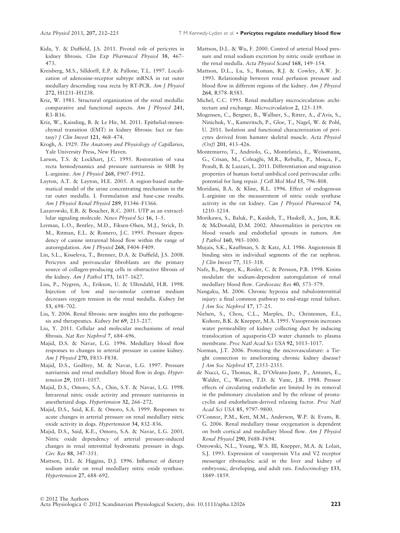- Kida, Y. & Duffield, J.S. 2011. Pivotal role of pericytes in kidney fibrosis. *Clin Exp Pharmacol Physiol* 38, 467– 473.
- Kreisberg, M.S., Silldorff, E.P. & Pallone, T.L. 1997. Localization of adenosine-receptor subtype mRNA in rat outer medullary descending vasa recta by RT-PCR. *Am J Physiol* 272, H1231–H1238.
- Kriz, W. 1981. Structural organization of the renal medulla: comparative and functional aspects. *Am J Physiol* 241, R3–R16.
- Kriz, W., Kaissling, B. & Le Hir, M. 2011. Epithelial-mesenchymal transition (EMT) in kidney fibrosis: fact or fantasy? *J Clin Invest* 121, 468–474.
- Krogh, A. 1929. *The Anatomy and Physiology of Capillaries*, Yale University Press, New Haven.
- Larson, T.S. & Lockhart, J.C. 1995. Restoration of vasa recta hemodynamics and pressure natriuresis in SHR by L-arginine. *Am J Physiol* 268, F907–F912.
- Layton, A.T. & Layton, H.E. 2005. A region-based mathematical model of the urine concentrating mechanism in the rat outer medulla. I. Formulation and base-case results. *Am J Physiol Renal Physiol* 289, F1346–F1366.
- Lazarowski, E.R. & Boucher, R.C. 2001. UTP as an extracellular signaling molecule. *News Physiol Sci* 16, 1–5.
- Lerman, L.O., Bentley, M.D., Fiksen-Olsen, M.J., Strick, D. M., Ritman, E.L. & Romero, J.C. 1995. Pressure dependency of canine intrarenal blood flow within the range of autoregulation. *Am J Physiol* 268, F404–F409.
- Lin, S.L., Kisseleva, T., Brenner, D.A. & Duffield, J.S. 2008. Pericytes and perivascular fibroblasts are the primary source of collagen-producing cells in obstructive fibrosis of the kidney. *Am J Pathol* 173, 1617–1627.
- Liss, P., Nygren, A., Erikson, U. & Ulfendahl, H.R. 1998. Injection of low and iso-osmolar contrast medium decreases oxygen tension in the renal medulla. *Kidney Int* 53, 698–702.
- Liu, Y. 2006. Renal fibrosis: new insights into the pathogenesis and therapeutics. *Kidney Int* 69, 213–217.
- Liu, Y. 2011. Cellular and molecular mechanisms of renal fibrosis. *Nat Rev Nephrol* 7, 684–696.
- Majid, D.S. & Navar, L.G. 1996. Medullary blood flow responses to changes in arterial pressure in canine kidney. *Am J Physiol* 270, F833–F838.
- Majid, D.S., Godfrey, M. & Navar, L.G. 1997. Pressure natriuresis and renal medullary blood flow in dogs. *Hypertension* 29, 1051–1057.
- Majid, D.S., Omoro, S.A., Chin, S.Y. & Navar, L.G. 1998. Intrarenal nitric oxide activity and pressure natriuresis in anesthetized dogs. *Hypertension* 32, 266–272.
- Majid, D.S., Said, K.E. & Omoro, S.A. 1999. Responses to acute changes in arterial pressure on renal medullary nitric oxide activity in dogs. *Hypertension* 34, 832–836.
- Majid, D.S., Said, K.E., Omoro, S.A. & Navar, L.G. 2001. Nitric oxide dependency of arterial pressure-induced changes in renal interstitial hydrostatic pressure in dogs. *Circ Res* 88, 347–351.
- Mattson, D.L. & Higgins, D.J. 1996. Influence of dietary sodium intake on renal medullary nitric oxide synthase. *Hypertension* 27, 688–692.
- Mattson, D.L. & Wu, F. 2000. Control of arterial blood pressure and renal sodium excretion by nitric oxide synthase in the renal medulla. *Acta Physiol Scand* 168, 149–154.
- Mattson, D.L., Lu, S., Roman, R.J. & Cowley, A.W. Jr. 1993. Relationship between renal perfusion pressure and blood flow in different regions of the kidney. *Am J Physiol* 264, R578–R583.
- Michel, C.C. 1995. Renal medullary microcirculation: architecture and exchange. *Microcirculation* 2, 125–139.
- Mogensen, C., Bergner, B., Wallner, S., Ritter, A., d'Avis, S., Ninichuk, V., Kameritsch, P., Gloe, T., Nagel, W. & Pohl, U. 2011. Isolation and functional characterization of pericytes derived from hamster skeletal muscle. *Acta Physiol (Oxf)* 201, 413–426.
- Montemurro, T., Andriolo, G., Montelatici, E., Weissmann, G., Crisan, M., Colnaghi, M.R., Rebulla, P., Mosca, F., Peault, B. & Lazzari, L. 2011. Differentiation and migration properties of human foetal umbilical cord perivascular cells: potential for lung repair. *J Cell Mol Med* 15, 796–808.
- Moridani, B.A. & Kline, R.L. 1996. Effect of endogenous L-arginine on the measurement of nitric oxide synthase activity in the rat kidney. *Can J Physiol Pharmacol* 74, 1210–1214.
- Morikawa, S., Baluk, P., Kaidoh, T., Haskell, A., Jain, R.K. & McDonald, D.M. 2002. Abnormalities in pericytes on blood vessels and endothelial sprouts in tumors. *Am J Pathol* 160, 985–1000.
- Mujais, S.K., Kauffman, S. & Katz, A.I. 1986. Angiotensin II binding sites in individual segments of the rat nephron. *J Clin Invest* 77, 315–318.
- Nafz, B., Berger, K., Rosler, C. & Persson, P.B. 1998. Kinins modulate the sodium-dependent autoregulation of renal medullary blood flow. *Cardiovasc Res* 40, 573–579.
- Nangaku, M. 2006. Chronic hypoxia and tubulointerstitial injury: a final common pathway to end-stage renal failure. *J Am Soc Nephrol* 17, 17–25.
- Nielsen, S., Chou, C.L., Marples, D., Christensen, E.I., Kishore, B.K. & Knepper, M.A. 1995. Vasopressin increases water permeability of kidney collecting duct by inducing translocation of aquaporin-CD water channels to plasma membrane. *Proc Natl Acad Sci USA* 92, 1013–1017.
- Norman, J.T. 2006. Protecting the microvasculature: a Tieght connection to ameliorating chronic kidney disease? *J Am Soc Nephrol* 17, 2353–2355.
- de Nucci, G., Thomas, R., D'Orleans-Juste, P., Antunes, E., Walder, C., Warner, T.D. & Vane, J.R. 1988. Pressor effects of circulating endothelin are limited by its removal in the pulmonary circulation and by the release of prostacyclin and endothelium-derived relaxing factor. *Proc Natl Acad Sci USA* 85, 9797–9800.
- O'Connor, P.M., Kett, M.M., Anderson, W.P. & Evans, R. G. 2006. Renal medullary tissue oxygenation is dependent on both cortical and medullary blood flow. *Am J Physiol Renal Physiol* 290, F688–F694.
- Ostrowski, N.L., Young, W.S. III, Knepper, M.A. & Lolait, S.J. 1993. Expression of vasopressin V1a and V2 receptor messenger ribonucleic acid in the liver and kidney of embryonic, developing, and adult rats. *Endocrinology* 133, 1849–1859.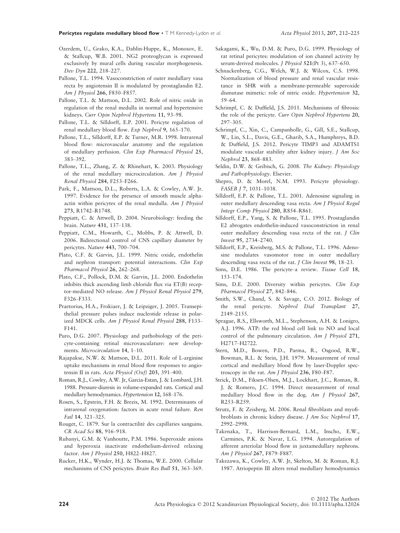- Ozerdem, U., Grako, K.A., Dahlin-Huppe, K., Monosov, E. & Stallcup, W.B. 2001. NG2 proteoglycan is expressed exclusively by mural cells during vascular morphogenesis. *Dev Dyn* 222, 218–227.
- Pallone, T.L. 1994. Vasoconstriction of outer medullary vasa recta by angiotensin II is modulated by prostaglandin E2. *Am J Physiol* 266, F850–F857.
- Pallone, T.L. & Mattson, D.L. 2002. Role of nitric oxide in regulation of the renal medulla in normal and hypertensive kidneys. *Curr Opin Nephrol Hypertens* 11, 93–98.
- Pallone, T.L. & Silldorff, E.P. 2001. Pericyte regulation of renal medullary blood flow. *Exp Nephrol* 9, 165–170.
- Pallone, T.L., Silldorff, E.P. & Turner, M.R. 1998. Intrarenal blood flow: microvascular anatomy and the regulation of medullary perfusion. *Clin Exp Pharmacol Physiol* 25, 383–392.
- Pallone, T.L., Zhang, Z. & Rhinehart, K. 2003. Physiology of the renal medullary microcirculation. *Am J Physiol Renal Physiol* 284, F253–F266.
- Park, F., Mattson, D.L., Roberts, L.A. & Cowley, A.W. Jr. 1997. Evidence for the presence of smooth muscle alphaactin within pericytes of the renal medulla. *Am J Physiol* 273, R1742–R1748.
- Peppiatt, C. & Attwell, D. 2004. Neurobiology: feeding the brain. *Nature* 431, 137–138.
- Peppiatt, C.M., Howarth, C., Mobbs, P. & Attwell, D. 2006. Bidirectional control of CNS capillary diameter by pericytes. *Nature* 443, 700–704.
- Plato, C.F. & Garvin, J.L. 1999. Nitric oxide, endothelin and nephron transport: potential interactions. *Clin Exp Pharmacol Physiol* 26, 262–268.
- Plato, C.F., Pollock, D.M. & Garvin, J.L. 2000. Endothelin inhibits thick ascending limb chloride flux via ET(B) receptor-mediated NO release. *Am J Physiol Renal Physiol* 279, F326–F333.
- Praetorius, H.A., Frokiaer, J. & Leipziger, J. 2005. Transepithelial pressure pulses induce nucleotide release in polarized MDCK cells. *Am J Physiol Renal Physiol* 288, F133– F141.
- Puro, D.G. 2007. Physiology and pathobiology of the pericyte-containing retinal microvasculature: new developments. *Microcirculation* 14, 1–10.
- Rajapakse, N.W. & Mattson, D.L. 2011. Role of L-arginine uptake mechanisms in renal blood flow responses to angiotensin II in rats. *Acta Physiol (Oxf)* 203, 391–400.
- Roman, R.J., Cowley, A.W. Jr, Garcia-Estan, J. & Lombard, J.H. 1988. Pressure-diuresis in volume-expanded rats. Cortical and medullary hemodynamics. *Hypertension* 12, 168–176.
- Rosen, S., Epstein, F.H. & Brezis, M. 1992. Determinants of intrarenal oxygenation: factors in acute renal failure. *Ren Fail* 14, 321–325.
- Rouget, C. 1879. Sur la contractilité des capillaries sanguins. *CR Acad Sci* 88, 916–918.
- Rubanyi, G.M. & Vanhoutte, P.M. 1986. Superoxide anions and hyperoxia inactivate endothelium-derived relaxing factor. *Am J Physiol* 250, H822–H827.
- Rucker, H.K., Wynder, H.J. & Thomas, W.E. 2000. Cellular mechanisms of CNS pericytes. *Brain Res Bull* 51, 363–369.
- Sakagami, K., Wu, D.M. & Puro, D.G. 1999. Physiology of rat retinal pericytes: modulation of ion channel activity by serum-derived molecules. *J Physiol* 521(Pt 3), 637–650.
- Schnackenberg, C.G., Welch, W.J. & Wilcox, C.S. 1998. Normalization of blood pressure and renal vascular resistance in SHR with a membrane-permeable superoxide dismutase mimetic: role of nitric oxide. *Hypertension* 32, 59–64.
- Schrimpf, C. & Duffield, J.S. 2011. Mechanisms of fibrosis: the role of the pericyte. *Curr Opin Nephrol Hypertens* 20, 297–305.
- Schrimpf, C., Xin, C., Campanholle, G., Gill, S.E., Stallcup, W., Lin, S.L., Davis, G.E., Gharib, S.A., Humphreys, B.D. & Duffield, J.S. 2012. Pericyte TIMP3 and ADAMTS1 modulate vascular stability after kidney injury. *J Am Soc Nephrol* 23, 868–883.
- Seldin, D.W. & Geibisch, G. 2008. *The Kidney: Physiology and Pathophysiology*. Elsevier.
- Shepro, D. & Morel, N.M. 1993. Pericyte physiology. *FASEB J* 7, 1031–1038.
- Silldorff, E.P. & Pallone, T.L. 2001. Adenosine signaling in outer medullary descending vasa recta. *Am J Physiol Regul Integr Comp Physiol* 280, R854–R861.
- Silldorff, E.P., Yang, S. & Pallone, T.L. 1995. Prostaglandin E2 abrogates endothelin-induced vasoconstriction in renal outer medullary descending vasa recta of the rat. *J Clin Invest* 95, 2734–2740.
- Silldorff, E.P., Kreisberg, M.S. & Pallone, T.L. 1996. Adenosine modulates vasomotor tone in outer medullary descending vasa recta of the rat. *J Clin Invest* 98, 18–23.
- Sims, D.E. 1986. The pericyte–a review. *Tissue Cell* 18, 153–174.
- Sims, D.E. 2000. Diversity within pericytes. *Clin Exp Pharmacol Physiol* 27, 842–846.
- Smith, S.W., Chand, S. & Savage, C.O. 2012. Biology of the renal pericyte. *Nephrol Dial Transplant* 27, 2149–2155.
- Sprague, R.S., Ellsworth, M.L., Stephenson, A.H. & Lonigro, A.J. 1996. ATP: the red blood cell link to NO and local control of the pulmonary circulation. *Am J Physiol* 271, H2717–H2722.
- Stern, M.D., Bowen, P.D., Parma, R., Osgood, R.W., Bowman, R.L. & Stein, J.H. 1979. Measurement of renal cortical and medullary blood flow by laser-Doppler spectroscopy in the rat. *Am J Physiol* 236, F80–F87.
- Strick, D.M., Fiksen-Olsen, M.J., Lockhart, J.C., Roman, R. J. & Romero, J.C. 1994. Direct measurement of renal medullary blood flow in the dog. *Am J Physiol* 267, R253–R259.
- Strutz, F. & Zeisberg, M. 2006. Renal fibroblasts and myofibroblasts in chronic kidney disease. *J Am Soc Nephrol* 17, 2992–2998.
- Takenaka, T., Harrison-Bernard, L.M., Inscho, E.W., Carmines, P.K. & Navar, L.G. 1994. Autoregulation of afferent arteriolar blood flow in juxtamedullary nephrons. *Am J Physiol* 267, F879–F887.
- Takezawa, K., Cowley, A.W. Jr, Skelton, M. & Roman, R.J. 1987. Atriopeptin III alters renal medullary hemodynamics